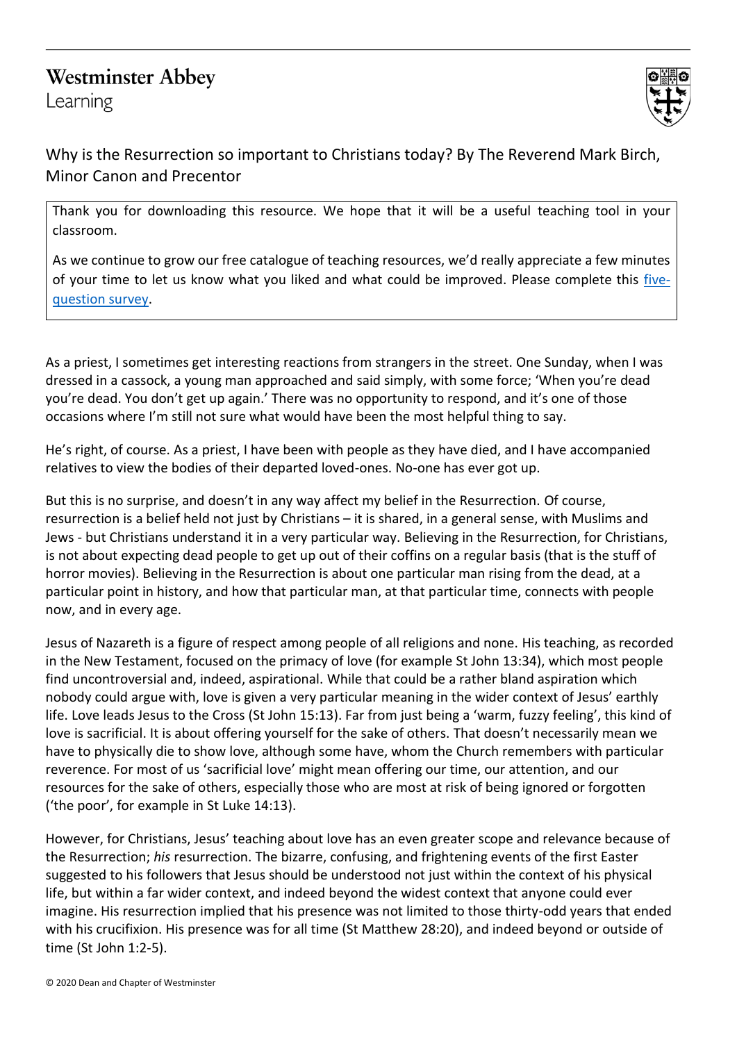## **Westminster Abbey**

Learning



Why is the Resurrection so important to Christians today? By The Reverend Mark Birch, Minor Canon and Precentor

Thank you for downloading this resource. We hope that it will be a useful teaching tool in your classroom.

As we continue to grow our free catalogue of teaching resources, we'd really appreciate a few minutes of your time to let us know what you liked and what could be improved. Please complete this [five](https://forms.office.com/r/yVUPQS6zG7)[question survey.](https://forms.office.com/r/yVUPQS6zG7)

As a priest, I sometimes get interesting reactions from strangers in the street. One Sunday, when I was dressed in a cassock, a young man approached and said simply, with some force; 'When you're dead you're dead. You don't get up again.' There was no opportunity to respond, and it's one of those occasions where I'm still not sure what would have been the most helpful thing to say.

He's right, of course. As a priest, I have been with people as they have died, and I have accompanied relatives to view the bodies of their departed loved-ones. No-one has ever got up.

But this is no surprise, and doesn't in any way affect my belief in the Resurrection. Of course, resurrection is a belief held not just by Christians – it is shared, in a general sense, with Muslims and Jews - but Christians understand it in a very particular way. Believing in the Resurrection, for Christians, is not about expecting dead people to get up out of their coffins on a regular basis (that is the stuff of horror movies). Believing in the Resurrection is about one particular man rising from the dead, at a particular point in history, and how that particular man, at that particular time, connects with people now, and in every age.

Jesus of Nazareth is a figure of respect among people of all religions and none. His teaching, as recorded in the New Testament, focused on the primacy of love (for example St John 13:34), which most people find uncontroversial and, indeed, aspirational. While that could be a rather bland aspiration which nobody could argue with, love is given a very particular meaning in the wider context of Jesus' earthly life. Love leads Jesus to the Cross (St John 15:13). Far from just being a 'warm, fuzzy feeling', this kind of love is sacrificial. It is about offering yourself for the sake of others. That doesn't necessarily mean we have to physically die to show love, although some have, whom the Church remembers with particular reverence. For most of us 'sacrificial love' might mean offering our time, our attention, and our resources for the sake of others, especially those who are most at risk of being ignored or forgotten ('the poor', for example in St Luke 14:13).

However, for Christians, Jesus' teaching about love has an even greater scope and relevance because of the Resurrection; *his* resurrection. The bizarre, confusing, and frightening events of the first Easter suggested to his followers that Jesus should be understood not just within the context of his physical life, but within a far wider context, and indeed beyond the widest context that anyone could ever imagine. His resurrection implied that his presence was not limited to those thirty-odd years that ended with his crucifixion. His presence was for all time (St Matthew 28:20), and indeed beyond or outside of time (St John 1:2-5).